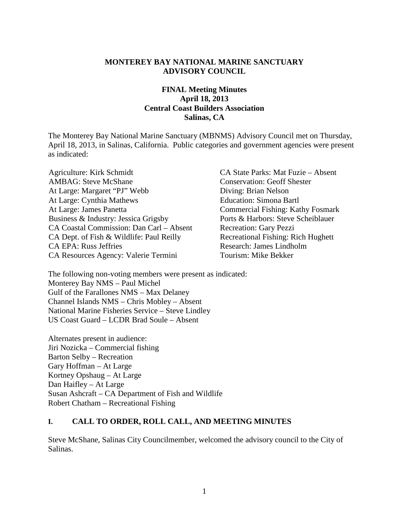#### **MONTEREY BAY NATIONAL MARINE SANCTUARY ADVISORY COUNCIL**

### **FINAL Meeting Minutes April 18, 2013 Central Coast Builders Association Salinas, CA**

The Monterey Bay National Marine Sanctuary (MBNMS) Advisory Council met on Thursday, April 18, 2013, in Salinas, California. Public categories and government agencies were present as indicated:

Agriculture: Kirk Schmidt CA State Parks: Mat Fuzie – Absent AMBAG: Steve McShane Conservation: Geoff Shester At Large: Margaret "PJ" Webb Diving: Brian Nelson At Large: Cynthia Mathews Education: Simona Bartl At Large: James Panetta Commercial Fishing: Kathy Fosmark Business & Industry: Jessica Grigsby Ports & Harbors: Steve Scheiblauer CA Coastal Commission: Dan Carl – Absent Recreation: Gary Pezzi CA Dept. of Fish & Wildlife: Paul Reilly Recreational Fishing: Rich Hughett CA EPA: Russ Jeffries Research: James Lindholm CA Resources Agency: Valerie Termini Tourism: Mike Bekker

The following non-voting members were present as indicated: Monterey Bay NMS – Paul Michel Gulf of the Farallones NMS – Max Delaney Channel Islands NMS – Chris Mobley – Absent National Marine Fisheries Service – Steve Lindley US Coast Guard – LCDR Brad Soule – Absent

Alternates present in audience: Jiri Nozicka – Commercial fishing Barton Selby – Recreation Gary Hoffman – At Large Kortney Opshaug – At Large Dan Haifley – At Large Susan Ashcraft – CA Department of Fish and Wildlife Robert Chatham – Recreational Fishing

#### **I. CALL TO ORDER, ROLL CALL, AND MEETING MINUTES**

Steve McShane, Salinas City Councilmember, welcomed the advisory council to the City of Salinas.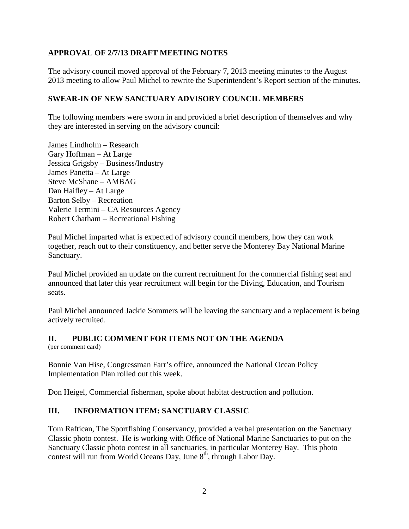# **APPROVAL OF 2/7/13 DRAFT MEETING NOTES**

The advisory council moved approval of the February 7, 2013 meeting minutes to the August 2013 meeting to allow Paul Michel to rewrite the Superintendent's Report section of the minutes.

### **SWEAR-IN OF NEW SANCTUARY ADVISORY COUNCIL MEMBERS**

The following members were sworn in and provided a brief description of themselves and why they are interested in serving on the advisory council:

James Lindholm – Research Gary Hoffman – At Large Jessica Grigsby – Business/Industry James Panetta – At Large Steve McShane – AMBAG Dan Haifley – At Large Barton Selby – Recreation Valerie Termini – CA Resources Agency Robert Chatham – Recreational Fishing

Paul Michel imparted what is expected of advisory council members, how they can work together, reach out to their constituency, and better serve the Monterey Bay National Marine Sanctuary.

Paul Michel provided an update on the current recruitment for the commercial fishing seat and announced that later this year recruitment will begin for the Diving, Education, and Tourism seats.

Paul Michel announced Jackie Sommers will be leaving the sanctuary and a replacement is being actively recruited.

### **II. PUBLIC COMMENT FOR ITEMS NOT ON THE AGENDA**

(per comment card)

Bonnie Van Hise, Congressman Farr's office, announced the National Ocean Policy Implementation Plan rolled out this week.

Don Heigel, Commercial fisherman, spoke about habitat destruction and pollution.

### **III. INFORMATION ITEM: SANCTUARY CLASSIC**

Tom Raftican, The Sportfishing Conservancy, provided a verbal presentation on the Sanctuary Classic photo contest. He is working with Office of National Marine Sanctuaries to put on the Sanctuary Classic photo contest in all sanctuaries, in particular Monterey Bay. This photo contest will run from World Oceans Day, June  $8<sup>th</sup>$ , through Labor Day.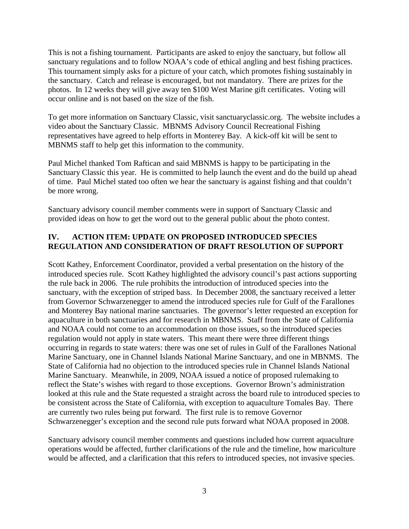This is not a fishing tournament. Participants are asked to enjoy the sanctuary, but follow all sanctuary regulations and to follow NOAA's code of ethical angling and best fishing practices. This tournament simply asks for a picture of your catch, which promotes fishing sustainably in the sanctuary. Catch and release is encouraged, but not mandatory. There are prizes for the photos. In 12 weeks they will give away ten \$100 West Marine gift certificates. Voting will occur online and is not based on the size of the fish.

To get more information on Sanctuary Classic, visit sanctuaryclassic.org. The website includes a video about the Sanctuary Classic. MBNMS Advisory Council Recreational Fishing representatives have agreed to help efforts in Monterey Bay. A kick-off kit will be sent to MBNMS staff to help get this information to the community.

Paul Michel thanked Tom Raftican and said MBNMS is happy to be participating in the Sanctuary Classic this year. He is committed to help launch the event and do the build up ahead of time. Paul Michel stated too often we hear the sanctuary is against fishing and that couldn't be more wrong.

Sanctuary advisory council member comments were in support of Sanctuary Classic and provided ideas on how to get the word out to the general public about the photo contest.

### **IV. ACTION ITEM: UPDATE ON PROPOSED INTRODUCED SPECIES REGULATION AND CONSIDERATION OF DRAFT RESOLUTION OF SUPPORT**

Scott Kathey, Enforcement Coordinator, provided a verbal presentation on the history of the introduced species rule. Scott Kathey highlighted the advisory council's past actions supporting the rule back in 2006. The rule prohibits the introduction of introduced species into the sanctuary, with the exception of striped bass. In December 2008, the sanctuary received a letter from Governor Schwarzenegger to amend the introduced species rule for Gulf of the Farallones and Monterey Bay national marine sanctuaries. The governor's letter requested an exception for aquaculture in both sanctuaries and for research in MBNMS. Staff from the State of California and NOAA could not come to an accommodation on those issues, so the introduced species regulation would not apply in state waters. This meant there were three different things occurring in regards to state waters: there was one set of rules in Gulf of the Farallones National Marine Sanctuary, one in Channel Islands National Marine Sanctuary, and one in MBNMS. The State of California had no objection to the introduced species rule in Channel Islands National Marine Sanctuary. Meanwhile, in 2009, NOAA issued a notice of proposed rulemaking to reflect the State's wishes with regard to those exceptions. Governor Brown's administration looked at this rule and the State requested a straight across the board rule to introduced species to be consistent across the State of California, with exception to aquaculture Tomales Bay. There are currently two rules being put forward. The first rule is to remove Governor Schwarzenegger's exception and the second rule puts forward what NOAA proposed in 2008.

Sanctuary advisory council member comments and questions included how current aquaculture operations would be affected, further clarifications of the rule and the timeline, how mariculture would be affected, and a clarification that this refers to introduced species, not invasive species.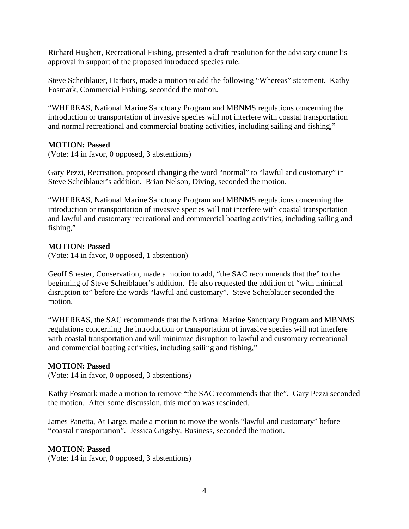Richard Hughett, Recreational Fishing, presented a draft resolution for the advisory council's approval in support of the proposed introduced species rule.

Steve Scheiblauer, Harbors, made a motion to add the following "Whereas" statement. Kathy Fosmark, Commercial Fishing, seconded the motion.

"WHEREAS, National Marine Sanctuary Program and MBNMS regulations concerning the introduction or transportation of invasive species will not interfere with coastal transportation and normal recreational and commercial boating activities, including sailing and fishing,"

#### **MOTION: Passed**

(Vote: 14 in favor, 0 opposed, 3 abstentions)

Gary Pezzi, Recreation, proposed changing the word "normal" to "lawful and customary" in Steve Scheiblauer's addition. Brian Nelson, Diving, seconded the motion.

"WHEREAS, National Marine Sanctuary Program and MBNMS regulations concerning the introduction or transportation of invasive species will not interfere with coastal transportation and lawful and customary recreational and commercial boating activities, including sailing and fishing,"

#### **MOTION: Passed**

(Vote: 14 in favor, 0 opposed, 1 abstention)

Geoff Shester, Conservation, made a motion to add, "the SAC recommends that the" to the beginning of Steve Scheiblauer's addition. He also requested the addition of "with minimal disruption to" before the words "lawful and customary". Steve Scheiblauer seconded the motion.

"WHEREAS, the SAC recommends that the National Marine Sanctuary Program and MBNMS regulations concerning the introduction or transportation of invasive species will not interfere with coastal transportation and will minimize disruption to lawful and customary recreational and commercial boating activities, including sailing and fishing,"

#### **MOTION: Passed**

(Vote: 14 in favor, 0 opposed, 3 abstentions)

Kathy Fosmark made a motion to remove "the SAC recommends that the". Gary Pezzi seconded the motion. After some discussion, this motion was rescinded.

James Panetta, At Large, made a motion to move the words "lawful and customary" before "coastal transportation". Jessica Grigsby, Business, seconded the motion.

#### **MOTION: Passed**

(Vote: 14 in favor, 0 opposed, 3 abstentions)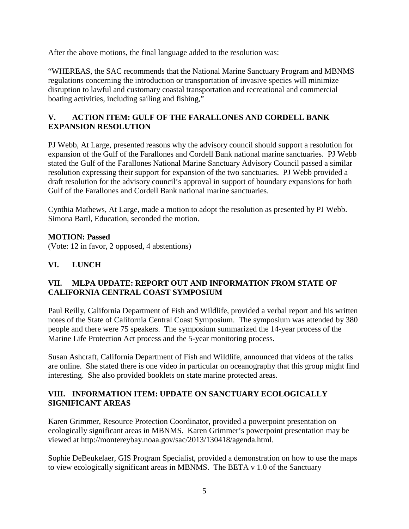After the above motions, the final language added to the resolution was:

"WHEREAS, the SAC recommends that the National Marine Sanctuary Program and MBNMS regulations concerning the introduction or transportation of invasive species will minimize disruption to lawful and customary coastal transportation and recreational and commercial boating activities, including sailing and fishing,"

### **V. ACTION ITEM: GULF OF THE FARALLONES AND CORDELL BANK EXPANSION RESOLUTION**

PJ Webb, At Large, presented reasons why the advisory council should support a resolution for expansion of the Gulf of the Farallones and Cordell Bank national marine sanctuaries. PJ Webb stated the Gulf of the Farallones National Marine Sanctuary Advisory Council passed a similar resolution expressing their support for expansion of the two sanctuaries. PJ Webb provided a draft resolution for the advisory council's approval in support of boundary expansions for both Gulf of the Farallones and Cordell Bank national marine sanctuaries.

Cynthia Mathews, At Large, made a motion to adopt the resolution as presented by PJ Webb. Simona Bartl, Education, seconded the motion.

# **MOTION: Passed**

(Vote: 12 in favor, 2 opposed, 4 abstentions)

# **VI. LUNCH**

### **VII. MLPA UPDATE: REPORT OUT AND INFORMATION FROM STATE OF CALIFORNIA CENTRAL COAST SYMPOSIUM**

Paul Reilly, California Department of Fish and Wildlife, provided a verbal report and his written notes of the State of California Central Coast Symposium. The symposium was attended by 380 people and there were 75 speakers. The symposium summarized the 14-year process of the Marine Life Protection Act process and the 5-year monitoring process.

Susan Ashcraft, California Department of Fish and Wildlife, announced that videos of the talks are online. She stated there is one video in particular on oceanography that this group might find interesting. She also provided booklets on state marine protected areas.

### **VIII. INFORMATION ITEM: UPDATE ON SANCTUARY ECOLOGICALLY SIGNIFICANT AREAS**

Karen Grimmer, Resource Protection Coordinator, provided a powerpoint presentation on ecologically significant areas in MBNMS. Karen Grimmer's powerpoint presentation may be viewed at http://montereybay.noaa.gov/sac/2013/130418/agenda.html.

Sophie DeBeukelaer, GIS Program Specialist, provided a demonstration on how to use the maps to view ecologically significant areas in MBNMS. The BETA v 1.0 of the Sanctuary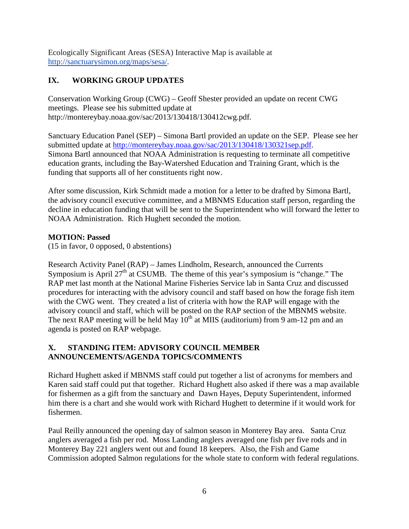Ecologically Significant Areas (SESA) Interactive Map is available at [http://sanctuarysimon.org/maps/sesa/.](http://sanctuarysimon.org/maps/sesa/)

# **IX. WORKING GROUP UPDATES**

Conservation Working Group (CWG) – Geoff Shester provided an update on recent CWG meetings. Please see his submitted update at http://montereybay.noaa.gov/sac/2013/130418/130412cwg.pdf.

Sanctuary Education Panel (SEP) – Simona Bartl provided an update on the SEP. Please see her submitted update at [http://montereybay.noaa.gov/sac/2013/130418/130321sep.pdf.](http://montereybay.noaa.gov/sac/2013/130418/130321sep.pdf) Simona Bartl announced that NOAA Administration is requesting to terminate all competitive education grants, including the Bay-Watershed Education and Training Grant, which is the funding that supports all of her constituents right now.

After some discussion, Kirk Schmidt made a motion for a letter to be drafted by Simona Bartl, the advisory council executive committee, and a MBNMS Education staff person, regarding the decline in education funding that will be sent to the Superintendent who will forward the letter to NOAA Administration. Rich Hughett seconded the motion.

# **MOTION: Passed**

(15 in favor, 0 opposed, 0 abstentions)

Research Activity Panel (RAP) – James Lindholm, Research, announced the Currents Symposium is April  $27<sup>th</sup>$  at CSUMB. The theme of this year's symposium is "change." The RAP met last month at the National Marine Fisheries Service lab in Santa Cruz and discussed procedures for interacting with the advisory council and staff based on how the forage fish item with the CWG went. They created a list of criteria with how the RAP will engage with the advisory council and staff, which will be posted on the RAP section of the MBNMS website. The next RAP meeting will be held May  $10<sup>th</sup>$  at MIIS (auditorium) from 9 am-12 pm and an agenda is posted on RAP webpage.

# **X. STANDING ITEM: ADVISORY COUNCIL MEMBER ANNOUNCEMENTS/AGENDA TOPICS/COMMENTS**

Richard Hughett asked if MBNMS staff could put together a list of acronyms for members and Karen said staff could put that together. Richard Hughett also asked if there was a map available for fishermen as a gift from the sanctuary and Dawn Hayes, Deputy Superintendent, informed him there is a chart and she would work with Richard Hughett to determine if it would work for fishermen.

Paul Reilly announced the opening day of salmon season in Monterey Bay area. Santa Cruz anglers averaged a fish per rod. Moss Landing anglers averaged one fish per five rods and in Monterey Bay 221 anglers went out and found 18 keepers. Also, the Fish and Game Commission adopted Salmon regulations for the whole state to conform with federal regulations.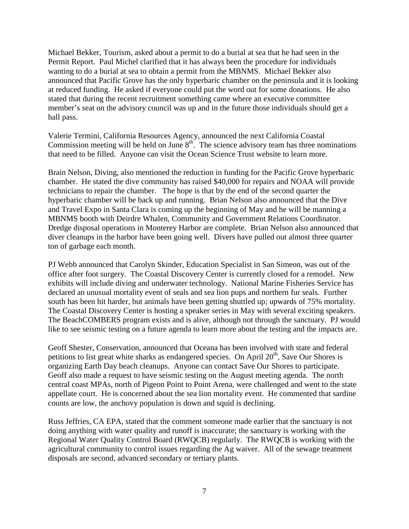Michael Bekker, Tourism, asked about a permit to do a burial at sea that he had seen in the Permit Report. Paul Michel clarified that it has always been the procedure for individuals wanting to do a burial at sea to obtain a permit from the MBNMS. Michael Bekker also announced that Pacific Grove has the only hyperbaric chamber on the peninsula and it is looking at reduced funding. He asked if everyone could put the word out for some donations. He also stated that during the recent recruitment something came where an executive committee member's seat on the advisory council was up and in the future those individuals should get a hall pass.

Valerie Termini, California Resources Agency, announced the next California Coastal Commission meeting will be held on June  $8<sup>th</sup>$ . The science advisory team has three nominations that need to be filled. Anyone can visit the Ocean Science Trust website to learn more.

Brain Nelson, Diving, also mentioned the reduction in funding for the Pacific Grove hyperbaric chamber. He stated the dive community has raised \$40,000 for repairs and NOAA will provide technicians to repair the chamber. The hope is that by the end of the second quarter the hyperbaric chamber will be back up and running. Brian Nelson also announced that the Dive and Travel Expo in Santa Clara is coming up the beginning of May and he will be manning a MBNMS booth with Deirdre Whalen, Community and Government Relations Coordinator. Dredge disposal operations in Monterey Harbor are complete. Brian Nelson also announced that diver cleanups in the harbor have been going well. Divers have pulled out almost three quarter ton of garbage each month.

PJ Webb announced that Carolyn Skinder, Education Specialist in San Simeon, was out of the office after foot surgery. The Coastal Discovery Center is currently closed for a remodel. New exhibits will include diving and underwater technology. National Marine Fisheries Service has declared an unusual mortality event of seals and sea lion pups and northern fur seals. Further south has been hit harder, but animals have been getting shuttled up; upwards of 75% mortality. The Coastal Discovery Center is hosting a speaker series in May with several exciting speakers. The BeachCOMBERS program exists and is alive, although not through the sanctuary. PJ would like to see seismic testing on a future agenda to learn more about the testing and the impacts are.

Geoff Shester, Conservation, announced that Oceana has been involved with state and federal petitions to list great white sharks as endangered species. On April  $20<sup>th</sup>$ , Save Our Shores is organizing Earth Day beach cleanups. Anyone can contact Save Our Shores to participate. Geoff also made a request to have seismic testing on the August meeting agenda. The north central coast MPAs, north of Pigeon Point to Point Arena, were challenged and went to the state appellate court. He is concerned about the sea lion mortality event. He commented that sardine counts are low, the anchovy population is down and squid is declining.

Russ Jeffries, CA EPA, stated that the comment someone made earlier that the sanctuary is not doing anything with water quality and runoff is inaccurate; the sanctuary is working with the Regional Water Quality Control Board (RWQCB) regularly. The RWQCB is working with the agricultural community to control issues regarding the Ag waiver. All of the sewage treatment disposals are second, advanced secondary or tertiary plants.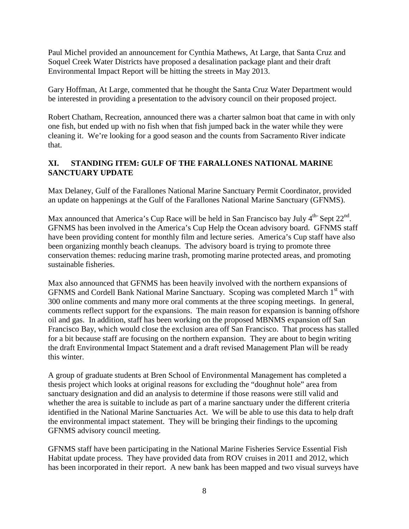Paul Michel provided an announcement for Cynthia Mathews, At Large, that Santa Cruz and Soquel Creek Water Districts have proposed a desalination package plant and their draft Environmental Impact Report will be hitting the streets in May 2013.

Gary Hoffman, At Large, commented that he thought the Santa Cruz Water Department would be interested in providing a presentation to the advisory council on their proposed project.

Robert Chatham, Recreation, announced there was a charter salmon boat that came in with only one fish, but ended up with no fish when that fish jumped back in the water while they were cleaning it. We're looking for a good season and the counts from Sacramento River indicate that.

# **XI. STANDING ITEM: GULF OF THE FARALLONES NATIONAL MARINE SANCTUARY UPDATE**

Max Delaney, Gulf of the Farallones National Marine Sanctuary Permit Coordinator, provided an update on happenings at the Gulf of the Farallones National Marine Sanctuary (GFNMS).

Max announced that America's Cup Race will be held in San Francisco bay July  $4<sup>th</sup>$ -Sept  $22<sup>nd</sup>$ . GFNMS has been involved in the America's Cup Help the Ocean advisory board. GFNMS staff have been providing content for monthly film and lecture series. America's Cup staff have also been organizing monthly beach cleanups. The advisory board is trying to promote three conservation themes: reducing marine trash, promoting marine protected areas, and promoting sustainable fisheries.

Max also announced that GFNMS has been heavily involved with the northern expansions of GFNMS and Cordell Bank National Marine Sanctuary. Scoping was completed March 1<sup>st</sup> with 300 online comments and many more oral comments at the three scoping meetings. In general, comments reflect support for the expansions. The main reason for expansion is banning offshore oil and gas. In addition, staff has been working on the proposed MBNMS expansion off San Francisco Bay, which would close the exclusion area off San Francisco. That process has stalled for a bit because staff are focusing on the northern expansion. They are about to begin writing the draft Environmental Impact Statement and a draft revised Management Plan will be ready this winter.

A group of graduate students at Bren School of Environmental Management has completed a thesis project which looks at original reasons for excluding the "doughnut hole" area from sanctuary designation and did an analysis to determine if those reasons were still valid and whether the area is suitable to include as part of a marine sanctuary under the different criteria identified in the National Marine Sanctuaries Act. We will be able to use this data to help draft the environmental impact statement. They will be bringing their findings to the upcoming GFNMS advisory council meeting.

GFNMS staff have been participating in the National Marine Fisheries Service Essential Fish Habitat update process. They have provided data from ROV cruises in 2011 and 2012, which has been incorporated in their report. A new bank has been mapped and two visual surveys have